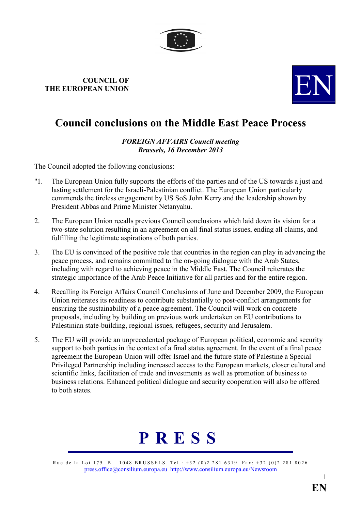

## **COUNCIL OF THE EUROPEAN UNION**



## **Council conclusions on the Middle East Peace Process**

## **FOREIGN AFFAIRS Council meeting** *Brussels, 16 December 2013*

The Council adopted the following conclusions:

- "1. The European Union fully supports the efforts of the parties and of the US towards a just and lasting settlement for the Israeli-Palestinian conflict. The European Union particularly commends the tireless engagement by US SoS John Kerry and the leadership shown by President Abbas and Prime Minister Netanyahu.
- 2. The European Union recalls previous Council conclusions which laid down its vision for a two-state solution resulting in an agreement on all final status issues, ending all claims, and fulfilling the legitimate aspirations of both parties.
- 3. The EU is convinced of the positive role that countries in the region can play in advancing the peace process, and remains committed to the on-going dialogue with the Arab States, including with regard to achieving peace in the Middle East. The Council reiterates the strategic importance of the Arab Peace Initiative for all parties and for the entire region.
- 4. Recalling its Foreign Affairs Council Conclusions of June and December 2009, the European Union reiterates its readiness to contribute substantially to post-conflict arrangements for ensuring the sustainability of a peace agreement. The Council will work on concrete proposals, including by building on previous work undertaken on EU contributions to Palestinian state-building, regional issues, refugees, security and Jerusalem.
- 5. The EU will provide an unprecedented package of European political, economic and security support to both parties in the context of a final status agreement. In the event of a final peace agreement the European Union will offer Israel and the future state of Palestine a Special Privileged Partnership including increased access to the European markets, closer cultural and scientific links, facilitation of trade and investments as well as promotion of business to business relations. Enhanced political dialogue and security cooperation will also be offered to both states.



Rue de la Loi 175 B – 1048 BRUSSELS Tel.: +32 (0)2 281 6319 Fax: +32 (0)2 281 8026 [press.office@consilium.europa.eu](mailto:press.office@consilium.eu.int) [http://www.consilium.europa.eu/Newsroom](http://ue.eu.int/Newsroom)